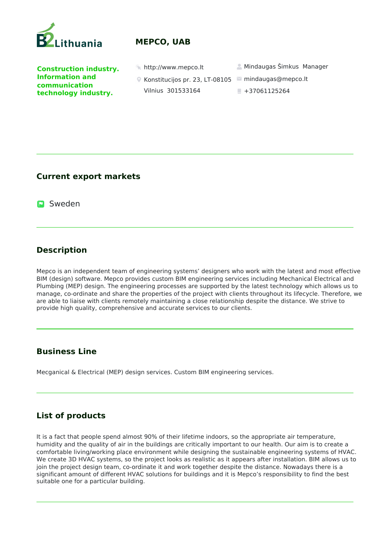

# **MEPCO, UAB**

**Construction industry. Information and communication technology industry.** 

- mindaugas@mepco.lt Konstitucijos pr. 23, LT-08105 Vilnius 301533164
- http://www.mepco.lt Mindaugas Šimkus Manager
	-
	- $+37061125264$

#### **Current export markets**

**D** Sweden

# **Description**

Mepco is an independent team of engineering systems' designers who work with the latest and most effective BIM (design) software. Mepco provides custom BIM engineering services including Mechanical Electrical and Plumbing (MEP) design. The engineering processes are supported by the latest technology which allows us to manage, co-ordinate and share the properties of the project with clients throughout its lifecycle. Therefore, we are able to liaise with clients remotely maintaining a close relationship despite the distance. We strive to provide high quality, comprehensive and accurate services to our clients.

## **Business Line**

Mecganical & Electrical (MEP) design services. Custom BIM engineering services.

## **List of products**

It is a fact that people spend almost 90% of their lifetime indoors, so the appropriate air temperature, humidity and the quality of air in the buildings are critically important to our health. Our aim is to create a comfortable living/working place environment while designing the sustainable engineering systems of HVAC. We create 3D HVAC systems, so the project looks as realistic as it appears after installation. BIM allows us to join the project design team, co-ordinate it and work together despite the distance. Nowadays there is a significant amount of different HVAC solutions for buildings and it is Mepco's responsibility to find the best suitable one for a particular building.